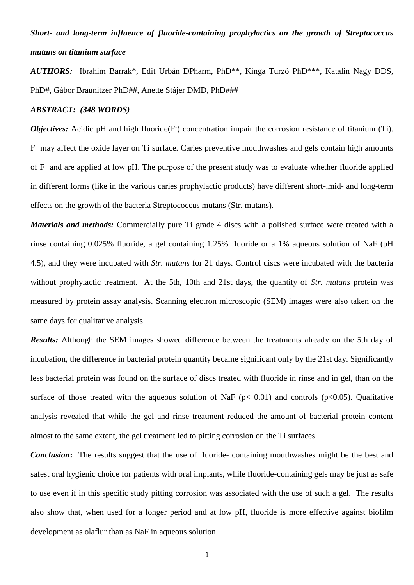# *Short- and long-term influence of fluoride-containing prophylactics on the growth of Streptococcus mutans on titanium surface*

*AUTHORS:* Ibrahim Barrak\*, Edit Urbán DPharm, PhD\*\*, Kinga Turzó PhD\*\*\*, Katalin Nagy DDS, PhD#, Gábor Braunitzer PhD##, Anette Stájer DMD, PhD###

## *ABSTRACT: (348 WORDS)*

*Objectives:* Acidic pH and high fluoride(F) concentration impair the corrosion resistance of titanium (Ti). F – may affect the oxide layer on Ti surface. Caries preventive mouthwashes and gels contain high amounts of F – and are applied at low pH. The purpose of the present study was to evaluate whether fluoride applied in different forms (like in the various caries prophylactic products) have different short-,mid- and long-term effects on the growth of the bacteria Streptococcus mutans (Str. mutans).

*Materials and methods:* Commercially pure Ti grade 4 discs with a polished surface were treated with a rinse containing 0.025% fluoride, a gel containing 1.25% fluoride or a 1% aqueous solution of NaF (pH 4.5), and they were incubated with *Str. mutans* for 21 days. Control discs were incubated with the bacteria without prophylactic treatment. At the 5th, 10th and 21st days, the quantity of *Str. mutans* protein was measured by protein assay analysis. Scanning electron microscopic (SEM) images were also taken on the same days for qualitative analysis.

*Results:* Although the SEM images showed difference between the treatments already on the 5th day of incubation, the difference in bacterial protein quantity became significant only by the 21st day. Significantly less bacterial protein was found on the surface of discs treated with fluoride in rinse and in gel, than on the surface of those treated with the aqueous solution of NaF ( $p$ < 0.01) and controls ( $p$ <0.05). Qualitative analysis revealed that while the gel and rinse treatment reduced the amount of bacterial protein content almost to the same extent, the gel treatment led to pitting corrosion on the Ti surfaces.

*Conclusion*: The results suggest that the use of fluoride- containing mouthwashes might be the best and safest oral hygienic choice for patients with oral implants, while fluoride-containing gels may be just as safe to use even if in this specific study pitting corrosion was associated with the use of such a gel. The results also show that, when used for a longer period and at low pH, fluoride is more effective against biofilm development as olaflur than as NaF in aqueous solution.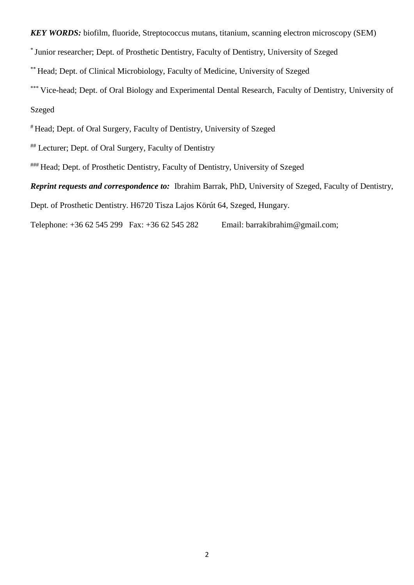*KEY WORDS:* biofilm, fluoride, Streptococcus mutans, titanium, scanning electron microscopy (SEM)

\* Junior researcher; Dept. of Prosthetic Dentistry, Faculty of Dentistry, University of Szeged

\*\* Head; Dept. of Clinical Microbiology, Faculty of Medicine, University of Szeged

\*\*\* Vice-head; Dept. of Oral Biology and Experimental Dental Research, Faculty of Dentistry, University of Szeged

# Head; Dept. of Oral Surgery, Faculty of Dentistry, University of Szeged

## Lecturer; Dept. of Oral Surgery, Faculty of Dentistry

### Head; Dept. of Prosthetic Dentistry, Faculty of Dentistry, University of Szeged

*Reprint requests and correspondence to:* Ibrahim Barrak, PhD, University of Szeged, Faculty of Dentistry,

Dept. of Prosthetic Dentistry. H6720 Tisza Lajos Körút 64, Szeged, Hungary.

Telephone: +36 62 545 299 Fax: +36 62 545 282 Email: barrakibrahim@gmail.com;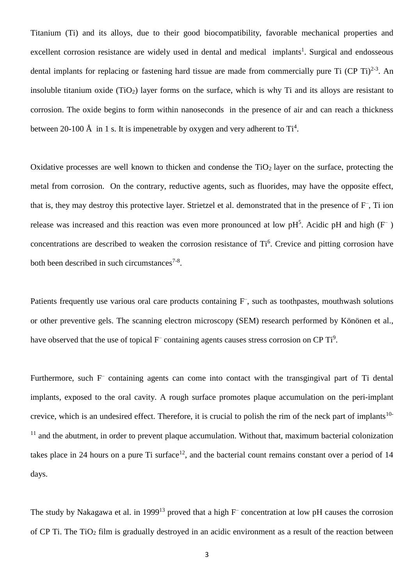Titanium (Ti) and its alloys, due to their good biocompatibility, favorable mechanical properties and excellent corrosion resistance are widely used in dental and medical implants<sup>1</sup>. Surgical and endosseous dental implants for replacing or fastening hard tissue are made from commercially pure Ti (CP Ti) $^{2-3}$ . An insoluble titanium oxide  $(TiO_2)$  layer forms on the surface, which is why Ti and its alloys are resistant to corrosion. The oxide begins to form within nanoseconds in the presence of air and can reach a thickness between 20-100  $\AA$  in 1 s. It is impenetrable by oxygen and very adherent to Ti<sup>4</sup>.

Oxidative processes are well known to thicken and condense the  $TiO<sub>2</sub>$  layer on the surface, protecting the metal from corrosion. On the contrary, reductive agents, such as fluorides, may have the opposite effect, that is, they may destroy this protective layer. Strietzel et al. demonstrated that in the presence of F– , Ti ion release was increased and this reaction was even more pronounced at low  $pH<sup>5</sup>$ . Acidic  $pH$  and high ( $F<sup>-</sup>$ ) concentrations are described to weaken the corrosion resistance of Ti<sup>6</sup>. Crevice and pitting corrosion have both been described in such circumstances<sup>7-8</sup>.

Patients frequently use various oral care products containing F, such as toothpastes, mouthwash solutions or other preventive gels. The scanning electron microscopy (SEM) research performed by Könönen et al., have observed that the use of topical  $F^-$  containing agents causes stress corrosion on CP Ti<sup>9</sup>.

Furthermore, such F<sup>-</sup> containing agents can come into contact with the transgingival part of Ti dental implants, exposed to the oral cavity. A rough surface promotes plaque accumulation on the peri-implant crevice, which is an undesired effect. Therefore, it is crucial to polish the rim of the neck part of implants<sup>10-</sup>  $11$  and the abutment, in order to prevent plaque accumulation. Without that, maximum bacterial colonization takes place in 24 hours on a pure Ti surface<sup>12</sup>, and the bacterial count remains constant over a period of 14 days.

The study by Nakagawa et al. in 1999<sup>13</sup> proved that a high  $F^-$  concentration at low pH causes the corrosion of CP Ti. The TiO<sub>2</sub> film is gradually destroyed in an acidic environment as a result of the reaction between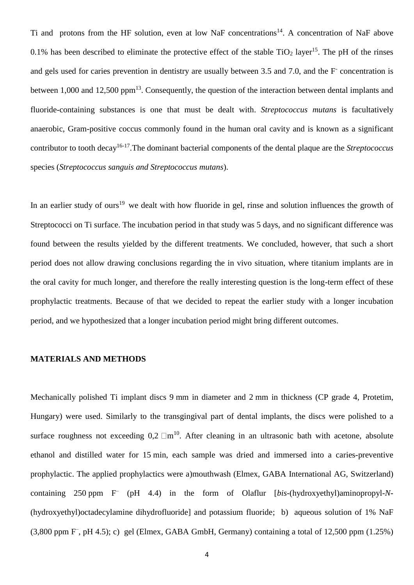Ti and protons from the HF solution, even at low NaF concentrations<sup>14</sup>. A concentration of NaF above 0.1% has been described to eliminate the protective effect of the stable  $TiO<sub>2</sub>$  layer<sup>15</sup>. The pH of the rinses and gels used for caries prevention in dentistry are usually between 3.5 and 7.0, and the F-concentration is between 1,000 and 12,500 ppm<sup>13</sup>. Consequently, the question of the interaction between dental implants and fluoride-containing substances is one that must be dealt with. *Streptococcus mutans* is facultatively anaerobic, Gram-positive coccus commonly found in the human oral cavity and is known as a significant contributor to tooth decay<sup>16-17</sup>. The dominant bacterial components of the dental plaque are the *Streptococcus* species (*Streptococcus sanguis and Streptococcus mutans*).

In an earlier study of ours<sup>19</sup> we dealt with how fluoride in gel, rinse and solution influences the growth of Streptococci on Ti surface. The incubation period in that study was 5 days, and no significant difference was found between the results yielded by the different treatments. We concluded, however, that such a short period does not allow drawing conclusions regarding the in vivo situation, where titanium implants are in the oral cavity for much longer, and therefore the really interesting question is the long-term effect of these prophylactic treatments. Because of that we decided to repeat the earlier study with a longer incubation period, and we hypothesized that a longer incubation period might bring different outcomes.

## **MATERIALS AND METHODS**

Mechanically polished Ti implant discs 9 mm in diameter and 2 mm in thickness (CP grade 4, Protetim, Hungary) were used. Similarly to the transgingival part of dental implants, the discs were polished to a surface roughness not exceeding  $0.2 \text{ }\square \text{m}^{10}$ . After cleaning in an ultrasonic bath with acetone, absolute ethanol and distilled water for 15 min, each sample was dried and immersed into a caries-preventive prophylactic. The applied prophylactics were a)mouthwash (Elmex, GABA International AG, Switzerland) containing 250 ppm F– (pH 4.4) in the form of Olaflur [*bis*-(hydroxyethyl)aminopropyl-*N*- (hydroxyethyl)octadecylamine dihydrofluoride] and potassium fluoride; b) aqueous solution of 1% NaF (3,800 ppm F– , pH 4.5); c) gel (Elmex, GABA GmbH, Germany) containing a total of 12,500 ppm (1.25%)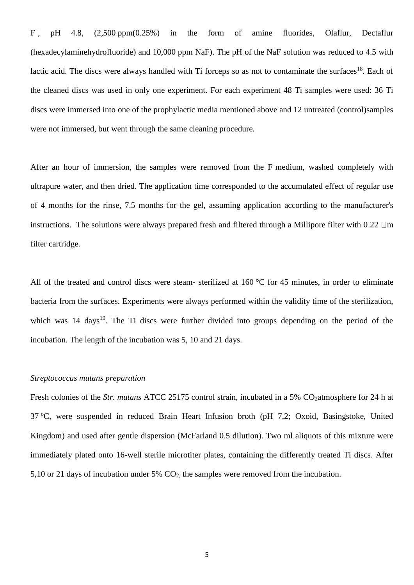F – , pH 4.8, (2,500 ppm(0.25%) in the form of amine fluorides, Olaflur, Dectaflur (hexadecylaminehydrofluoride) and 10,000 ppm NaF). The pH of the NaF solution was reduced to 4.5 with lactic acid. The discs were always handled with Ti forceps so as not to contaminate the surfaces<sup>18</sup>. Each of the cleaned discs was used in only one experiment. For each experiment 48 Ti samples were used: 36 Ti discs were immersed into one of the prophylactic media mentioned above and 12 untreated (control)samples were not immersed, but went through the same cleaning procedure.

After an hour of immersion, the samples were removed from the F–medium, washed completely with ultrapure water, and then dried. The application time corresponded to the accumulated effect of regular use of 4 months for the rinse, 7.5 months for the gel, assuming application according to the manufacturer's instructions. The solutions were always prepared fresh and filtered through a Millipore filter with  $0.22 \square m$ filter cartridge.

All of the treated and control discs were steam- sterilized at 160 °C for 45 minutes, in order to eliminate bacteria from the surfaces. Experiments were always performed within the validity time of the sterilization, which was 14 days<sup>19</sup>. The Ti discs were further divided into groups depending on the period of the incubation. The length of the incubation was 5, 10 and 21 days.

## *Streptococcus mutans preparation*

Fresh colonies of the *Str. mutans* ATCC 25175 control strain, incubated in a 5% CO<sub>2</sub>atmosphere for 24 h at 37 °C, were suspended in reduced Brain Heart Infusion broth (pH 7,2; Oxoid, Basingstoke, United Kingdom) and used after gentle dispersion (McFarland 0.5 dilution). Two ml aliquots of this mixture were immediately plated onto 16-well sterile microtiter plates, containing the differently treated Ti discs. After 5,10 or 21 days of incubation under 5%  $CO<sub>2</sub>$ , the samples were removed from the incubation.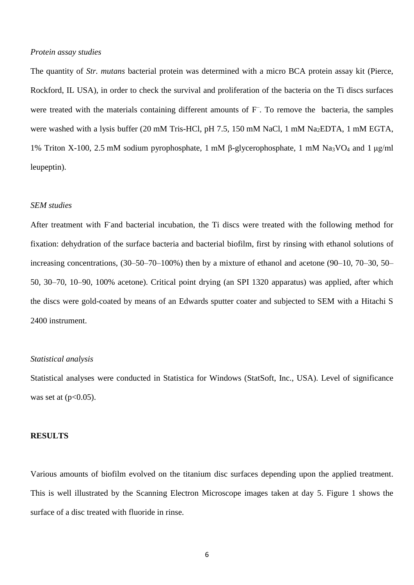## *Protein assay studies*

The quantity of *Str. mutans* bacterial protein was determined with a micro BCA protein assay kit (Pierce, Rockford, IL USA), in order to check the survival and proliferation of the bacteria on the Ti discs surfaces were treated with the materials containing different amounts of F<sup>-</sup>. To remove the bacteria, the samples were washed with a lysis buffer (20 mM Tris-HCl, pH 7.5, 150 mM NaCl, 1 mM Na<sub>2</sub>EDTA, 1 mM EGTA, 1% Triton X-100, 2.5 mM sodium pyrophosphate, 1 mM β-glycerophosphate, 1 mM Na3VO<sup>4</sup> and 1 μg/ml leupeptin).

## *SEM studies*

After treatment with F and bacterial incubation, the Ti discs were treated with the following method for fixation: dehydration of the surface bacteria and bacterial biofilm, first by rinsing with ethanol solutions of increasing concentrations, (30–50–70–100%) then by a mixture of ethanol and acetone (90–10, 70–30, 50– 50, 30–70, 10–90, 100% acetone). Critical point drying (an SPI 1320 apparatus) was applied, after which the discs were gold-coated by means of an Edwards sputter coater and subjected to SEM with a Hitachi S 2400 instrument.

## *Statistical analysis*

Statistical analyses were conducted in Statistica for Windows (StatSoft, Inc., USA). Level of significance was set at  $(p<0.05)$ .

#### **RESULTS**

Various amounts of biofilm evolved on the titanium disc surfaces depending upon the applied treatment. This is well illustrated by the Scanning Electron Microscope images taken at day 5. Figure 1 shows the surface of a disc treated with fluoride in rinse.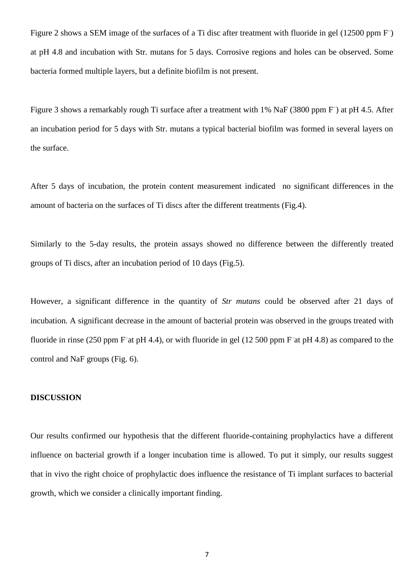Figure 2 shows a SEM image of the surfaces of a Ti disc after treatment with fluoride in gel (12500 ppm F) at pH 4.8 and incubation with Str. mutans for 5 days. Corrosive regions and holes can be observed. Some bacteria formed multiple layers, but a definite biofilm is not present.

Figure 3 shows a remarkably rough Ti surface after a treatment with 1% NaF (3800 ppm F) at pH 4.5. After an incubation period for 5 days with Str. mutans a typical bacterial biofilm was formed in several layers on the surface.

After 5 days of incubation, the protein content measurement indicated no significant differences in the amount of bacteria on the surfaces of Ti discs after the different treatments (Fig.4).

Similarly to the 5-day results, the protein assays showed no difference between the differently treated groups of Ti discs, after an incubation period of 10 days (Fig.5).

However, a significant difference in the quantity of *Str mutans* could be observed after 21 days of incubation. A significant decrease in the amount of bacterial protein was observed in the groups treated with fluoride in rinse (250 ppm F<sup>-</sup>at pH 4.4), or with fluoride in gel (12 500 ppm F<sup>-</sup>at pH 4.8) as compared to the control and NaF groups (Fig. 6).

## **DISCUSSION**

Our results confirmed our hypothesis that the different fluoride-containing prophylactics have a different influence on bacterial growth if a longer incubation time is allowed. To put it simply, our results suggest that in vivo the right choice of prophylactic does influence the resistance of Ti implant surfaces to bacterial growth, which we consider a clinically important finding.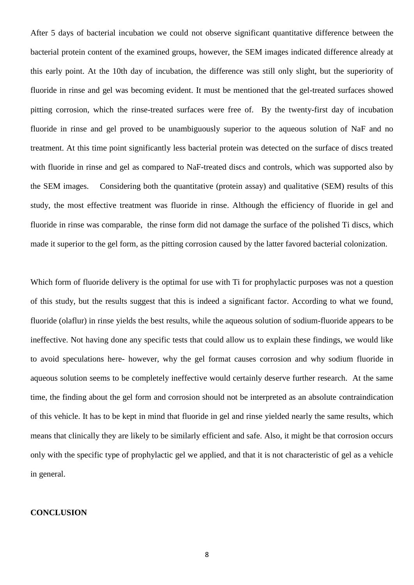After 5 days of bacterial incubation we could not observe significant quantitative difference between the bacterial protein content of the examined groups, however, the SEM images indicated difference already at this early point. At the 10th day of incubation, the difference was still only slight, but the superiority of fluoride in rinse and gel was becoming evident. It must be mentioned that the gel-treated surfaces showed pitting corrosion, which the rinse-treated surfaces were free of. By the twenty-first day of incubation fluoride in rinse and gel proved to be unambiguously superior to the aqueous solution of NaF and no treatment. At this time point significantly less bacterial protein was detected on the surface of discs treated with fluoride in rinse and gel as compared to NaF-treated discs and controls, which was supported also by the SEM images. Considering both the quantitative (protein assay) and qualitative (SEM) results of this study, the most effective treatment was fluoride in rinse. Although the efficiency of fluoride in gel and fluoride in rinse was comparable, the rinse form did not damage the surface of the polished Ti discs, which made it superior to the gel form, as the pitting corrosion caused by the latter favored bacterial colonization.

Which form of fluoride delivery is the optimal for use with Ti for prophylactic purposes was not a question of this study, but the results suggest that this is indeed a significant factor. According to what we found, fluoride (olaflur) in rinse yields the best results, while the aqueous solution of sodium-fluoride appears to be ineffective. Not having done any specific tests that could allow us to explain these findings, we would like to avoid speculations here- however, why the gel format causes corrosion and why sodium fluoride in aqueous solution seems to be completely ineffective would certainly deserve further research. At the same time, the finding about the gel form and corrosion should not be interpreted as an absolute contraindication of this vehicle. It has to be kept in mind that fluoride in gel and rinse yielded nearly the same results, which means that clinically they are likely to be similarly efficient and safe. Also, it might be that corrosion occurs only with the specific type of prophylactic gel we applied, and that it is not characteristic of gel as a vehicle in general.

## **CONCLUSION**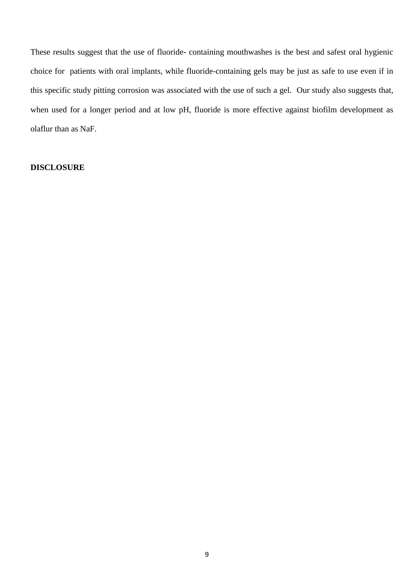These results suggest that the use of fluoride- containing mouthwashes is the best and safest oral hygienic choice for patients with oral implants, while fluoride-containing gels may be just as safe to use even if in this specific study pitting corrosion was associated with the use of such a gel. Our study also suggests that, when used for a longer period and at low pH, fluoride is more effective against biofilm development as olaflur than as NaF.

## **DISCLOSURE**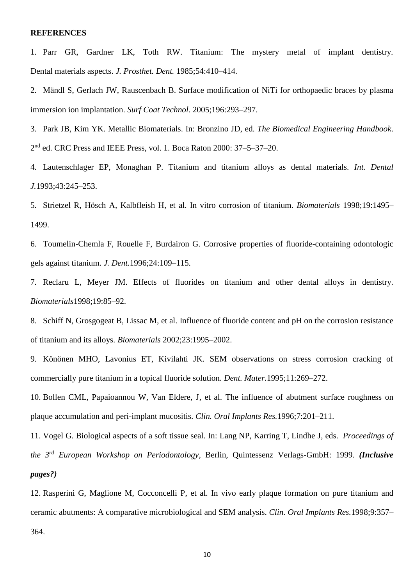#### **REFERENCES**

- 1. Parr GR, Gardner LK, Toth RW. Titanium: The mystery metal of implant dentistry. Dental materials aspects. *J. Prosthet. Dent.* 1985;54:410–414.
- 2. Mändl S, Gerlach JW, Rauscenbach B. Surface modification of NiTi for orthopaedic braces by plasma immersion ion implantation. *Surf Coat Technol*. 2005;196:293–297.
- 3. Park JB, Kim YK. Metallic Biomaterials. In: Bronzino JD, ed. *The Biomedical Engineering Handbook*. 2<sup>nd</sup> ed. CRC Press and IEEE Press, vol. 1. Boca Raton 2000: 37–5–37–20.
- 4. Lautenschlager EP, Monaghan P. Titanium and titanium alloys as dental materials. *Int. Dental J.*1993;43:245–253.
- 5. Strietzel R, Hösch A, Kalbfleish H, et al. In vitro corrosion of titanium. *Biomaterials* 1998;19:1495– 1499.
- 6. Toumelin-Chemla F, Rouelle F, Burdairon G. Corrosive properties of fluoride-containing odontologic gels against titanium. *J. Dent.*1996;24:109–115.
- 7. Reclaru L, Meyer JM. Effects of fluorides on titanium and other dental alloys in dentistry. *Biomaterials*1998;19:85–92.
- 8. Schiff N, Grosgogeat B, Lissac M, et al. Influence of fluoride content and pH on the corrosion resistance of titanium and its alloys. *Biomaterials* 2002;23:1995–2002.
- 9. Könönen MHO, Lavonius ET, Kivilahti JK. SEM observations on stress corrosion cracking of commercially pure titanium in a topical fluoride solution. *Dent. Mater.*1995;11:269–272.

10. Bollen CML, Papaioannou W, Van Eldere, J, et al. The influence of abutment surface roughness on plaque accumulation and peri-implant mucositis. *Clin. Oral Implants Res.*1996;7:201–211.

11. Vogel G. Biological aspects of a soft tissue seal. In: Lang NP, Karring T, Lindhe J, eds. *Proceedings of the 3rd European Workshop on Periodontology*, Berlin, Quintessenz Verlags-GmbH: 1999. *(Inclusive pages?)*

12. Rasperini G, Maglione M, Cocconcelli P, et al. In vivo early plaque formation on pure titanium and ceramic abutments: A comparative microbiological and SEM analysis. *Clin. Oral Implants Res.*1998;9:357– 364.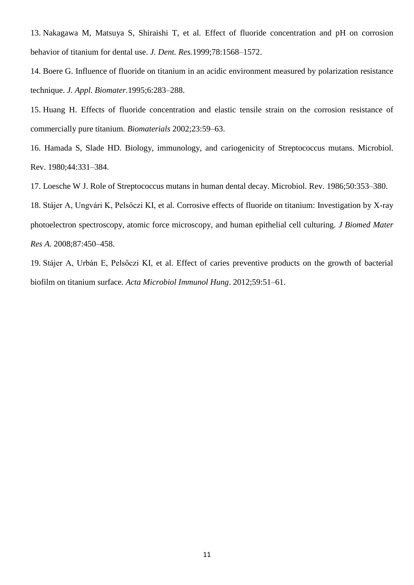13. Nakagawa M, Matsuya S, Shiraishi T, et al. Effect of fluoride concentration and pH on corrosion behavior of titanium for dental use. *J. Dent. Res.*1999;78:1568–1572.

14. Boere G. Influence of fluoride on titanium in an acidic environment measured by polarization resistance technique. *J. Appl. Biomater.*1995;6:283–288.

15. Huang H. Effects of fluoride concentration and elastic tensile strain on the corrosion resistance of commercially pure titanium. *Biomaterials* 2002;23:59–63.

16. Hamada S, Slade HD. Biology, immunology, and cariogenicity of Streptococcus mutans. Microbiol. Rev. 1980;44:331–384.

17. Loesche W J. Role of Streptococcus mutans in human dental decay. Microbiol. Rev. 1986;50:353–380.

18. Stájer A, Ungvári K, Pelsőczi KI, et al. Corrosive effects of fluoride on titanium: Investigation by X-ray photoelectron spectroscopy, atomic force microscopy, and human epithelial cell culturing. *J Biomed Mater Res A.* 2008;87:450–458.

19. Stájer A, Urbán E, Pelsőczi KI, et al. Effect of caries preventive products on the growth of bacterial biofilm on titanium surface. *Acta Microbiol Immunol Hung*. 2012;59:51–61.